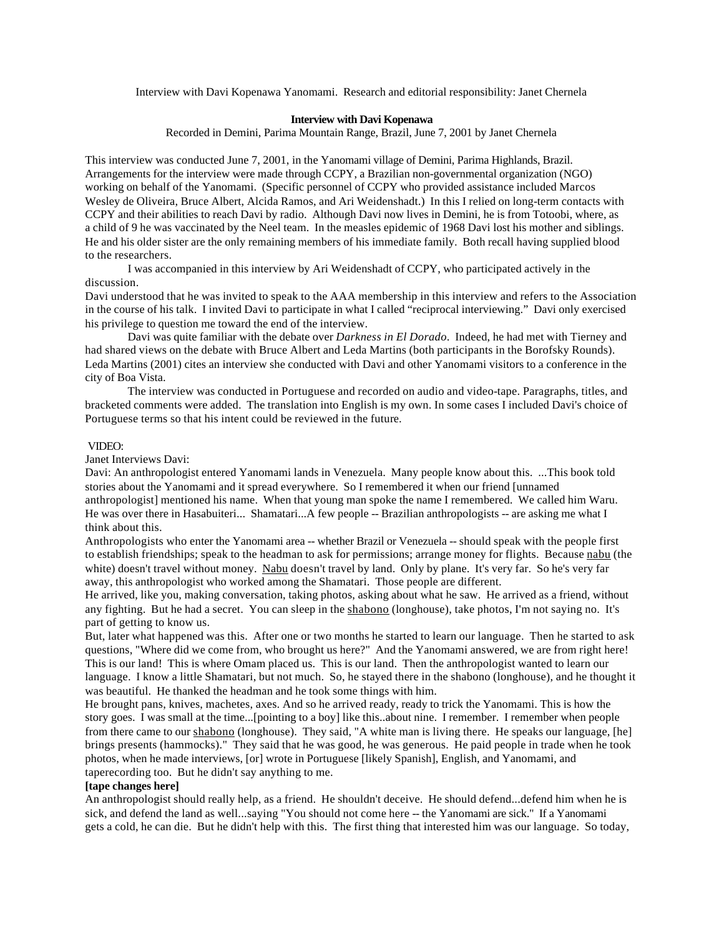Interview with Davi Kopenawa Yanomami. Research and editorial responsibility: Janet Chernela

## **Interview with Davi Kopenawa**

Recorded in Demini, Parima Mountain Range, Brazil, June 7, 2001 by Janet Chernela

This interview was conducted June 7, 2001, in the Yanomami village of Demini, Parima Highlands, Brazil. Arrangements for the interview were made through CCPY, a Brazilian non-governmental organization (NGO) working on behalf of the Yanomami. (Specific personnel of CCPY who provided assistance included Marcos Wesley de Oliveira, Bruce Albert, Alcida Ramos, and Ari Weidenshadt.) In this I relied on long-term contacts with CCPY and their abilities to reach Davi by radio. Although Davi now lives in Demini, he is from Totoobi, where, as a child of 9 he was vaccinated by the Neel team. In the measles epidemic of 1968 Davi lost his mother and siblings. He and his older sister are the only remaining members of his immediate family. Both recall having supplied blood to the researchers.

I was accompanied in this interview by Ari Weidenshadt of CCPY, who participated actively in the discussion.

Davi understood that he was invited to speak to the AAA membership in this interview and refers to the Association in the course of his talk. I invited Davi to participate in what I called "reciprocal interviewing." Davi only exercised his privilege to question me toward the end of the interview.

Davi was quite familiar with the debate over *Darkness in El Dorado*. Indeed, he had met with Tierney and had shared views on the debate with Bruce Albert and Leda Martins (both participants in the Borofsky Rounds). Leda Martins (2001) cites an interview she conducted with Davi and other Yanomami visitors to a conference in the city of Boa Vista.

The interview was conducted in Portuguese and recorded on audio and video-tape. Paragraphs, titles, and bracketed comments were added. The translation into English is my own. In some cases I included Davi's choice of Portuguese terms so that his intent could be reviewed in the future.

## VIDEO:

Janet Interviews Davi:

Davi: An anthropologist entered Yanomami lands in Venezuela. Many people know about this. ...This book told stories about the Yanomami and it spread everywhere. So I remembered it when our friend [unnamed anthropologist] mentioned his name. When that young man spoke the name I remembered. We called him Waru. He was over there in Hasabuiteri... Shamatari...A few people -- Brazilian anthropologists -- are asking me what I think about this.

Anthropologists who enter the Yanomami area -- whether Brazil or Venezuela -- should speak with the people first to establish friendships; speak to the headman to ask for permissions; arrange money for flights. Because nabu (the white) doesn't travel without money. Nabu doesn't travel by land. Only by plane. It's very far. So he's very far away, this anthropologist who worked among the Shamatari. Those people are different.

He arrived, like you, making conversation, taking photos, asking about what he saw. He arrived as a friend, without any fighting. But he had a secret. You can sleep in the shabono (longhouse), take photos, I'm not saying no. It's part of getting to know us.

But, later what happened was this. After one or two months he started to learn our language. Then he started to ask questions, "Where did we come from, who brought us here?" And the Yanomami answered, we are from right here! This is our land! This is where Omam placed us. This is our land. Then the anthropologist wanted to learn our language. I know a little Shamatari, but not much. So, he stayed there in the shabono (longhouse), and he thought it was beautiful. He thanked the headman and he took some things with him.

He brought pans, knives, machetes, axes. And so he arrived ready, ready to trick the Yanomami. This is how the story goes. I was small at the time...[pointing to a boy] like this..about nine. I remember. I remember when people from there came to our shabono (longhouse). They said, "A white man is living there. He speaks our language, [he] brings presents (hammocks)." They said that he was good, he was generous. He paid people in trade when he took photos, when he made interviews, [or] wrote in Portuguese [likely Spanish], English, and Yanomami, and taperecording too. But he didn't say anything to me.

## **[tape changes here]**

An anthropologist should really help, as a friend. He shouldn't deceive. He should defend...defend him when he is sick, and defend the land as well...saying "You should not come here -- the Yanomami are sick." If a Yanomami gets a cold, he can die. But he didn't help with this. The first thing that interested him was our language. So today,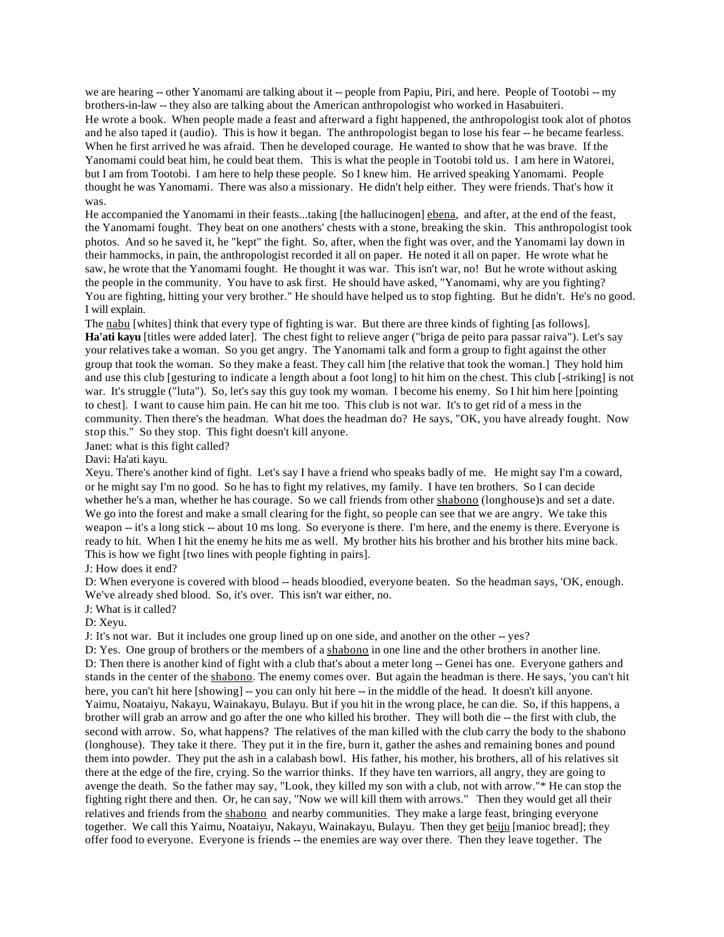we are hearing -- other Yanomami are talking about it -- people from Papiu, Piri, and here. People of Tootobi -- my brothers-in-law -- they also are talking about the American anthropologist who worked in Hasabuiteri. He wrote a book. When people made a feast and afterward a fight happened, the anthropologist took alot of photos and he also taped it (audio). This is how it began. The anthropologist began to lose his fear -- he became fearless. When he first arrived he was afraid. Then he developed courage. He wanted to show that he was brave. If the Yanomami could beat him, he could beat them. This is what the people in Tootobi told us. I am here in Watorei, but I am from Tootobi. I am here to help these people. So I knew him. He arrived speaking Yanomami. People thought he was Yanomami. There was also a missionary. He didn't help either. They were friends. That's how it was.

He accompanied the Yanomami in their feasts...taking [the hallucinogen] ebena, and after, at the end of the feast, the Yanomami fought. They beat on one anothers' chests with a stone, breaking the skin. This anthropologist took photos. And so he saved it, he "kept" the fight. So, after, when the fight was over, and the Yanomami lay down in their hammocks, in pain, the anthropologist recorded it all on paper. He noted it all on paper. He wrote what he saw, he wrote that the Yanomami fought. He thought it was war. This isn't war, no! But he wrote without asking the people in the community. You have to ask first. He should have asked, "Yanomami, why are you fighting? You are fighting, hitting your very brother." He should have helped us to stop fighting. But he didn't. He's no good. I will explain.

The nabu [whites] think that every type of fighting is war. But there are three kinds of fighting [as follows]. **Ha'ati kayu** [titles were added later]. The chest fight to relieve anger ("briga de peito para passar raiva"). Let's say your relatives take a woman. So you get angry. The Yanomami talk and form a group to fight against the other group that took the woman. So they make a feast. They call him [the relative that took the woman.] They hold him and use this club [gesturing to indicate a length about a foot long] to hit him on the chest. This club [-striking] is not war. It's struggle ("luta"). So, let's say this guy took my woman. I become his enemy. So I hit him here [pointing] to chest]. I want to cause him pain. He can hit me too. This club is not war. It's to get rid of a mess in the community. Then there's the headman. What does the headman do? He says, "OK, you have already fought. Now stop this." So they stop. This fight doesn't kill anyone.

Janet: what is this fight called?

Davi: Ha'ati kayu.

Xeyu. There's another kind of fight. Let's say I have a friend who speaks badly of me. He might say I'm a coward, or he might say I'm no good. So he has to fight my relatives, my family. I have ten brothers. So I can decide whether he's a man, whether he has courage. So we call friends from other shabono (longhouse)s and set a date. We go into the forest and make a small clearing for the fight, so people can see that we are angry. We take this weapon -- it's a long stick -- about 10 ms long. So everyone is there. I'm here, and the enemy is there. Everyone is ready to hit. When I hit the enemy he hits me as well. My brother hits his brother and his brother hits mine back. This is how we fight [two lines with people fighting in pairs].

J: How does it end?

D: When everyone is covered with blood -- heads bloodied, everyone beaten. So the headman says, 'OK, enough. We've already shed blood. So, it's over. This isn't war either, no.

J: What is it called?

D: Xeyu.

J: It's not war. But it includes one group lined up on one side, and another on the other -- yes?

D: Yes. One group of brothers or the members of a shabono in one line and the other brothers in another line. D: Then there is another kind of fight with a club that's about a meter long -- Genei has one. Everyone gathers and stands in the center of the shabono. The enemy comes over. But again the headman is there. He says, 'you can't hit here, you can't hit here [showing] -- you can only hit here -- in the middle of the head. It doesn't kill anyone. Yaimu, Noataiyu, Nakayu, Wainakayu, Bulayu. But if you hit in the wrong place, he can die. So, if this happens, a brother will grab an arrow and go after the one who killed his brother. They will both die -- the first with club, the second with arrow. So, what happens? The relatives of the man killed with the club carry the body to the shabono (longhouse). They take it there. They put it in the fire, burn it, gather the ashes and remaining bones and pound them into powder. They put the ash in a calabash bowl. His father, his mother, his brothers, all of his relatives sit there at the edge of the fire, crying. So the warrior thinks. If they have ten warriors, all angry, they are going to avenge the death. So the father may say, "Look, they killed my son with a club, not with arrow."\* He can stop the fighting right there and then. Or, he can say, "Now we will kill them with arrows." Then they would get all their relatives and friends from the shabono and nearby communities. They make a large feast, bringing everyone together. We call this Yaimu, Noataiyu, Nakayu, Wainakayu, Bulayu. Then they get beiju [manioc bread]; they offer food to everyone. Everyone is friends -- the enemies are way over there. Then they leave together. The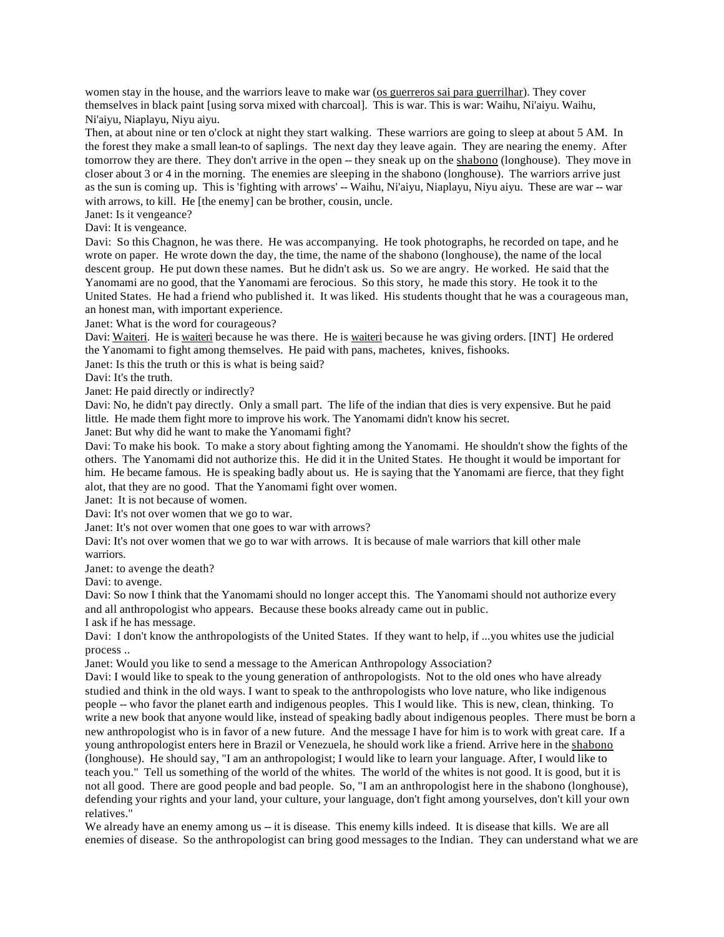women stay in the house, and the warriors leave to make war (os guerreros sai para guerrilhar). They cover themselves in black paint [using sorva mixed with charcoal]. This is war. This is war: Waihu, Ni'aiyu. Waihu, Ni'aiyu, Niaplayu, Niyu aiyu.

Then, at about nine or ten o'clock at night they start walking. These warriors are going to sleep at about 5 AM. In the forest they make a small lean-to of saplings. The next day they leave again. They are nearing the enemy. After tomorrow they are there. They don't arrive in the open -- they sneak up on the shabono (longhouse). They move in closer about 3 or 4 in the morning. The enemies are sleeping in the shabono (longhouse). The warriors arrive just as the sun is coming up. This is 'fighting with arrows' -- Waihu, Ni'aiyu, Niaplayu, Niyu aiyu. These are war -- war with arrows, to kill. He [the enemy] can be brother, cousin, uncle.

Janet: Is it vengeance?

Davi: It is vengeance.

Davi: So this Chagnon, he was there. He was accompanying. He took photographs, he recorded on tape, and he wrote on paper. He wrote down the day, the time, the name of the shabono (longhouse), the name of the local descent group. He put down these names. But he didn't ask us. So we are angry. He worked. He said that the Yanomami are no good, that the Yanomami are ferocious. So this story, he made this story. He took it to the United States. He had a friend who published it. It was liked. His students thought that he was a courageous man, an honest man, with important experience.

Janet: What is the word for courageous?

Davi: Waiteri. He is waiteri because he was there. He is waiteri because he was giving orders. [INT] He ordered the Yanomami to fight among themselves. He paid with pans, machetes, knives, fishooks.

Janet: Is this the truth or this is what is being said?

Davi: It's the truth.

Janet: He paid directly or indirectly?

Davi: No, he didn't pay directly. Only a small part. The life of the indian that dies is very expensive. But he paid little. He made them fight more to improve his work. The Yanomami didn't know his secret.

Janet: But why did he want to make the Yanomami fight?

Davi: To make his book. To make a story about fighting among the Yanomami. He shouldn't show the fights of the others. The Yanomami did not authorize this. He did it in the United States. He thought it would be important for him. He became famous. He is speaking badly about us. He is saying that the Yanomami are fierce, that they fight alot, that they are no good. That the Yanomami fight over women.

Janet: It is not because of women.

Davi: It's not over women that we go to war.

Janet: It's not over women that one goes to war with arrows?

Davi: It's not over women that we go to war with arrows. It is because of male warriors that kill other male

warriors. Janet: to avenge the death?

Davi: to avenge.

Davi: So now I think that the Yanomami should no longer accept this. The Yanomami should not authorize every and all anthropologist who appears. Because these books already came out in public.

I ask if he has message.

Davi: I don't know the anthropologists of the United States. If they want to help, if ...you whites use the judicial process ..

Janet: Would you like to send a message to the American Anthropology Association?

Davi: I would like to speak to the young generation of anthropologists. Not to the old ones who have already studied and think in the old ways. I want to speak to the anthropologists who love nature, who like indigenous people -- who favor the planet earth and indigenous peoples. This I would like. This is new, clean, thinking. To write a new book that anyone would like, instead of speaking badly about indigenous peoples. There must be born a new anthropologist who is in favor of a new future. And the message I have for him is to work with great care. If a young anthropologist enters here in Brazil or Venezuela, he should work like a friend. Arrive here in the shabono (longhouse). He should say, "I am an anthropologist; I would like to learn your language. After, I would like to teach you." Tell us something of the world of the whites. The world of the whites is not good. It is good, but it is not all good. There are good people and bad people. So, "I am an anthropologist here in the shabono (longhouse), defending your rights and your land, your culture, your language, don't fight among yourselves, don't kill your own relatives."

We already have an enemy among us -- it is disease. This enemy kills indeed. It is disease that kills. We are all enemies of disease. So the anthropologist can bring good messages to the Indian. They can understand what we are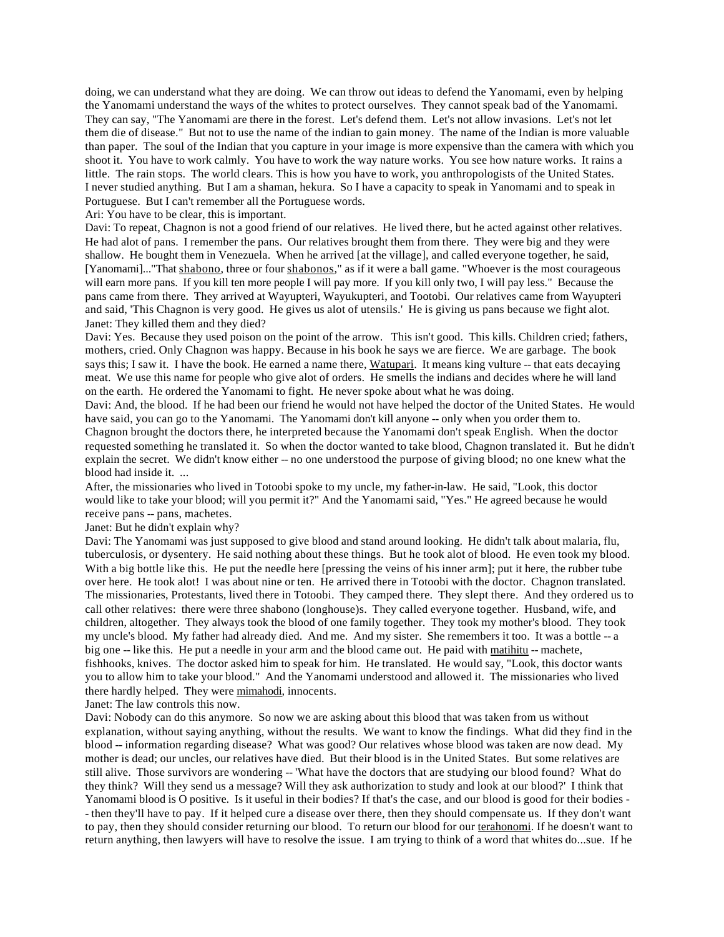doing, we can understand what they are doing. We can throw out ideas to defend the Yanomami, even by helping the Yanomami understand the ways of the whites to protect ourselves. They cannot speak bad of the Yanomami. They can say, "The Yanomami are there in the forest. Let's defend them. Let's not allow invasions. Let's not let them die of disease." But not to use the name of the indian to gain money. The name of the Indian is more valuable than paper. The soul of the Indian that you capture in your image is more expensive than the camera with which you shoot it. You have to work calmly. You have to work the way nature works. You see how nature works. It rains a little. The rain stops. The world clears. This is how you have to work, you anthropologists of the United States. I never studied anything. But I am a shaman, hekura. So I have a capacity to speak in Yanomami and to speak in Portuguese. But I can't remember all the Portuguese words.

Ari: You have to be clear, this is important.

Davi: To repeat, Chagnon is not a good friend of our relatives. He lived there, but he acted against other relatives. He had alot of pans. I remember the pans. Our relatives brought them from there. They were big and they were shallow. He bought them in Venezuela. When he arrived [at the village], and called everyone together, he said, [Yanomami]..."That shabono, three or four shabonos," as if it were a ball game. "Whoever is the most courageous will earn more pans. If you kill ten more people I will pay more. If you kill only two, I will pay less." Because the pans came from there. They arrived at Wayupteri, Wayukupteri, and Tootobi. Our relatives came from Wayupteri and said, 'This Chagnon is very good. He gives us alot of utensils.' He is giving us pans because we fight alot. Janet: They killed them and they died?

Davi: Yes. Because they used poison on the point of the arrow. This isn't good. This kills. Children cried; fathers, mothers, cried. Only Chagnon was happy. Because in his book he says we are fierce. We are garbage. The book says this; I saw it. I have the book. He earned a name there, Watupari. It means king vulture -- that eats decaying meat. We use this name for people who give alot of orders. He smells the indians and decides where he will land on the earth. He ordered the Yanomami to fight. He never spoke about what he was doing.

Davi: And, the blood. If he had been our friend he would not have helped the doctor of the United States. He would have said, you can go to the Yanomami. The Yanomami don't kill anyone -- only when you order them to. Chagnon brought the doctors there, he interpreted because the Yanomami don't speak English. When the doctor requested something he translated it. So when the doctor wanted to take blood, Chagnon translated it. But he didn't explain the secret. We didn't know either -- no one understood the purpose of giving blood; no one knew what the blood had inside it. ...

After, the missionaries who lived in Totoobi spoke to my uncle, my father-in-law. He said, "Look, this doctor would like to take your blood; will you permit it?" And the Yanomami said, "Yes." He agreed because he would receive pans -- pans, machetes.

Janet: But he didn't explain why?

Davi: The Yanomami was just supposed to give blood and stand around looking. He didn't talk about malaria, flu, tuberculosis, or dysentery. He said nothing about these things. But he took alot of blood. He even took my blood. With a big bottle like this. He put the needle here [pressing the veins of his inner arm]; put it here, the rubber tube over here. He took alot! I was about nine or ten. He arrived there in Totoobi with the doctor. Chagnon translated. The missionaries, Protestants, lived there in Totoobi. They camped there. They slept there. And they ordered us to call other relatives: there were three shabono (longhouse)s. They called everyone together. Husband, wife, and children, altogether. They always took the blood of one family together. They took my mother's blood. They took my uncle's blood. My father had already died. And me. And my sister. She remembers it too. It was a bottle -- a big one -- like this. He put a needle in your arm and the blood came out. He paid with matihitu -- machete, fishhooks, knives. The doctor asked him to speak for him. He translated. He would say, "Look, this doctor wants you to allow him to take your blood." And the Yanomami understood and allowed it. The missionaries who lived there hardly helped. They were mimahodi, innocents.

Janet: The law controls this now.

Davi: Nobody can do this anymore. So now we are asking about this blood that was taken from us without explanation, without saying anything, without the results. We want to know the findings. What did they find in the blood -- information regarding disease? What was good? Our relatives whose blood was taken are now dead. My mother is dead; our uncles, our relatives have died. But their blood is in the United States. But some relatives are still alive. Those survivors are wondering -- 'What have the doctors that are studying our blood found? What do they think? Will they send us a message? Will they ask authorization to study and look at our blood?' I think that Yanomami blood is O positive. Is it useful in their bodies? If that's the case, and our blood is good for their bodies - - then they'll have to pay. If it helped cure a disease over there, then they should compensate us. If they don't want to pay, then they should consider returning our blood. To return our blood for our terahonomi. If he doesn't want to return anything, then lawyers will have to resolve the issue. I am trying to think of a word that whites do...sue. If he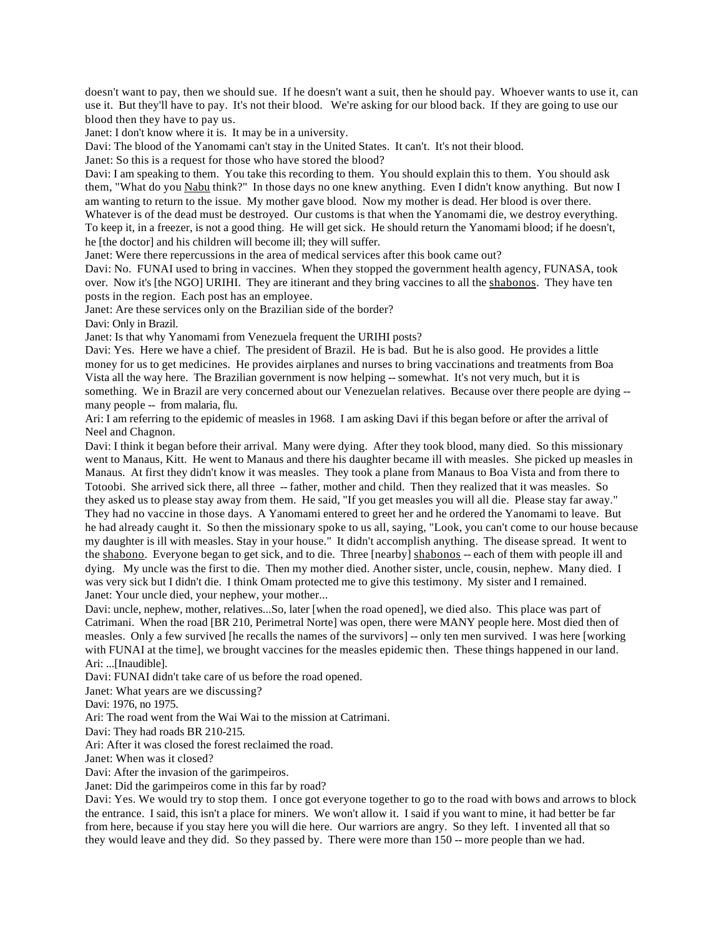doesn't want to pay, then we should sue. If he doesn't want a suit, then he should pay. Whoever wants to use it, can use it. But they'll have to pay. It's not their blood. We're asking for our blood back. If they are going to use our blood then they have to pay us.

Janet: I don't know where it is. It may be in a university.

Davi: The blood of the Yanomami can't stay in the United States. It can't. It's not their blood.

Janet: So this is a request for those who have stored the blood?

Davi: I am speaking to them. You take this recording to them. You should explain this to them. You should ask them, "What do you Nabu think?" In those days no one knew anything. Even I didn't know anything. But now I am wanting to return to the issue. My mother gave blood. Now my mother is dead. Her blood is over there. Whatever is of the dead must be destroyed. Our customs is that when the Yanomami die, we destroy everything. To keep it, in a freezer, is not a good thing. He will get sick. He should return the Yanomami blood; if he doesn't, he [the doctor] and his children will become ill; they will suffer.

Janet: Were there repercussions in the area of medical services after this book came out?

Davi: No. FUNAI used to bring in vaccines. When they stopped the government health agency, FUNASA, took over. Now it's [the NGO] URIHI. They are itinerant and they bring vaccines to all the shabonos. They have ten posts in the region. Each post has an employee.

Janet: Are these services only on the Brazilian side of the border?

Davi: Only in Brazil.

Janet: Is that why Yanomami from Venezuela frequent the URIHI posts?

Davi: Yes. Here we have a chief. The president of Brazil. He is bad. But he is also good. He provides a little money for us to get medicines. He provides airplanes and nurses to bring vaccinations and treatments from Boa Vista all the way here. The Brazilian government is now helping -- somewhat. It's not very much, but it is something. We in Brazil are very concerned about our Venezuelan relatives. Because over there people are dying -many people -- from malaria, flu.

Ari: I am referring to the epidemic of measles in 1968. I am asking Davi if this began before or after the arrival of Neel and Chagnon.

Davi: I think it began before their arrival. Many were dying. After they took blood, many died. So this missionary went to Manaus, Kitt. He went to Manaus and there his daughter became ill with measles. She picked up measles in Manaus. At first they didn't know it was measles. They took a plane from Manaus to Boa Vista and from there to Totoobi. She arrived sick there, all three -- father, mother and child. Then they realized that it was measles. So they asked us to please stay away from them. He said, "If you get measles you will all die. Please stay far away." They had no vaccine in those days. A Yanomami entered to greet her and he ordered the Yanomami to leave. But he had already caught it. So then the missionary spoke to us all, saying, "Look, you can't come to our house because my daughter is ill with measles. Stay in your house." It didn't accomplish anything. The disease spread. It went to the shabono. Everyone began to get sick, and to die. Three [nearby] shabonos -- each of them with people ill and dying. My uncle was the first to die. Then my mother died. Another sister, uncle, cousin, nephew. Many died. I was very sick but I didn't die. I think Omam protected me to give this testimony. My sister and I remained. Janet: Your uncle died, your nephew, your mother...

Davi: uncle, nephew, mother, relatives...So, later [when the road opened], we died also. This place was part of Catrimani. When the road [BR 210, Perimetral Norte] was open, there were MANY people here. Most died then of measles. Only a few survived [he recalls the names of the survivors] -- only ten men survived. I was here [working with FUNAI at the time], we brought vaccines for the measles epidemic then. These things happened in our land. Ari: ...[Inaudible].

Davi: FUNAI didn't take care of us before the road opened.

Janet: What years are we discussing?

Davi: 1976, no 1975.

Ari: The road went from the Wai Wai to the mission at Catrimani.

Davi: They had roads BR 210-215.

Ari: After it was closed the forest reclaimed the road.

Janet: When was it closed?

Davi: After the invasion of the garimpeiros.

Janet: Did the garimpeiros come in this far by road?

Davi: Yes. We would try to stop them. I once got everyone together to go to the road with bows and arrows to block the entrance. I said, this isn't a place for miners. We won't allow it. I said if you want to mine, it had better be far from here, because if you stay here you will die here. Our warriors are angry. So they left. I invented all that so they would leave and they did. So they passed by. There were more than 150 -- more people than we had.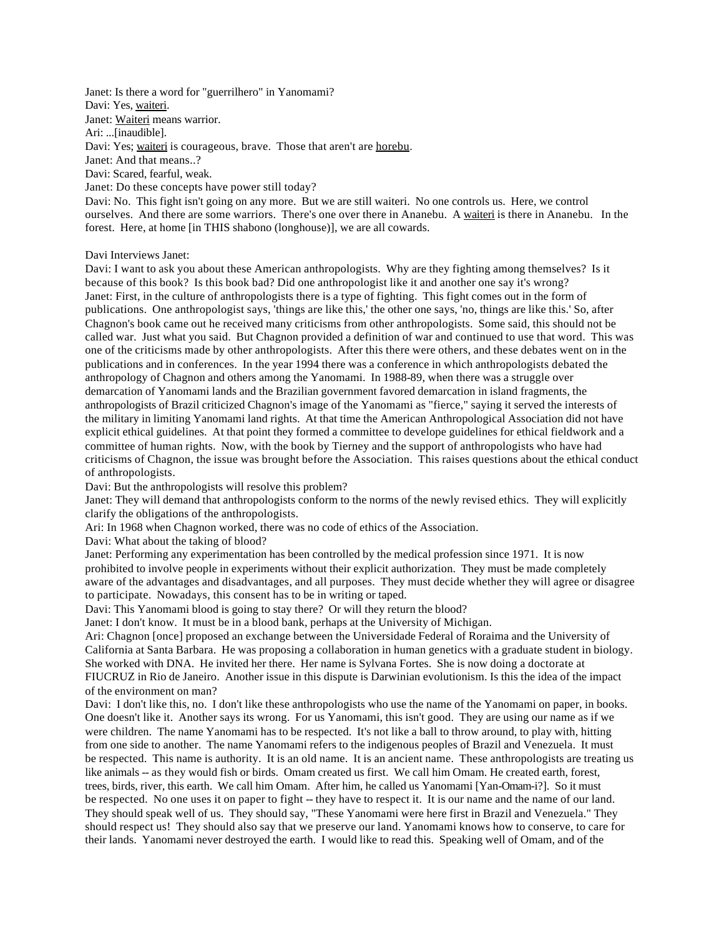Janet: Is there a word for "guerrilhero" in Yanomami? Davi: Yes, waiteri. Janet: Waiteri means warrior. Ari: ...[inaudible]. Davi: Yes; waiteri is courageous, brave. Those that aren't are horebu. Janet: And that means..? Davi: Scared, fearful, weak. Janet: Do these concepts have power still today? Davi: No. This fight isn't going on any more. But we are still waiteri. No one controls us. Here, we control ourselves. And there are some warriors. There's one over there in Ananebu. A waiteri is there in Ananebu. In the forest. Here, at home [in THIS shabono (longhouse)], we are all cowards.

Davi Interviews Janet:

Davi: I want to ask you about these American anthropologists. Why are they fighting among themselves? Is it because of this book? Is this book bad? Did one anthropologist like it and another one say it's wrong? Janet: First, in the culture of anthropologists there is a type of fighting. This fight comes out in the form of publications. One anthropologist says, 'things are like this,' the other one says, 'no, things are like this.' So, after Chagnon's book came out he received many criticisms from other anthropologists. Some said, this should not be called war. Just what you said. But Chagnon provided a definition of war and continued to use that word. This was one of the criticisms made by other anthropologists. After this there were others, and these debates went on in the publications and in conferences. In the year 1994 there was a conference in which anthropologists debated the anthropology of Chagnon and others among the Yanomami. In 1988-89, when there was a struggle over demarcation of Yanomami lands and the Brazilian government favored demarcation in island fragments, the anthropologists of Brazil criticized Chagnon's image of the Yanomami as "fierce," saying it served the interests of the military in limiting Yanomami land rights. At that time the American Anthropological Association did not have explicit ethical guidelines. At that point they formed a committee to develope guidelines for ethical fieldwork and a committee of human rights. Now, with the book by Tierney and the support of anthropologists who have had criticisms of Chagnon, the issue was brought before the Association. This raises questions about the ethical conduct of anthropologists.

Davi: But the anthropologists will resolve this problem?

Janet: They will demand that anthropologists conform to the norms of the newly revised ethics. They will explicitly clarify the obligations of the anthropologists.

Ari: In 1968 when Chagnon worked, there was no code of ethics of the Association.

Davi: What about the taking of blood?

Janet: Performing any experimentation has been controlled by the medical profession since 1971. It is now prohibited to involve people in experiments without their explicit authorization. They must be made completely aware of the advantages and disadvantages, and all purposes. They must decide whether they will agree or disagree to participate. Nowadays, this consent has to be in writing or taped.

Davi: This Yanomami blood is going to stay there? Or will they return the blood?

Janet: I don't know. It must be in a blood bank, perhaps at the University of Michigan.

Ari: Chagnon [once] proposed an exchange between the Universidade Federal of Roraima and the University of California at Santa Barbara. He was proposing a collaboration in human genetics with a graduate student in biology. She worked with DNA. He invited her there. Her name is Sylvana Fortes. She is now doing a doctorate at FIUCRUZ in Rio de Janeiro. Another issue in this dispute is Darwinian evolutionism. Is this the idea of the impact of the environment on man?

Davi: I don't like this, no. I don't like these anthropologists who use the name of the Yanomami on paper, in books. One doesn't like it. Another says its wrong. For us Yanomami, this isn't good. They are using our name as if we were children. The name Yanomami has to be respected. It's not like a ball to throw around, to play with, hitting from one side to another. The name Yanomami refers to the indigenous peoples of Brazil and Venezuela. It must be respected. This name is authority. It is an old name. It is an ancient name. These anthropologists are treating us like animals -- as they would fish or birds. Omam created us first. We call him Omam. He created earth, forest, trees, birds, river, this earth. We call him Omam. After him, he called us Yanomami [Yan-Omam-i?]. So it must be respected. No one uses it on paper to fight -- they have to respect it. It is our name and the name of our land. They should speak well of us. They should say, "These Yanomami were here first in Brazil and Venezuela." They should respect us! They should also say that we preserve our land. Yanomami knows how to conserve, to care for their lands. Yanomami never destroyed the earth. I would like to read this. Speaking well of Omam, and of the